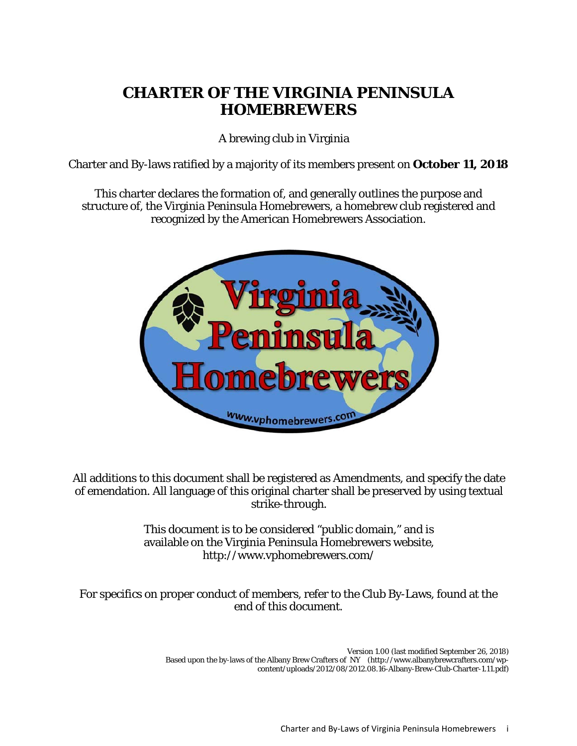# **CHARTER OF THE VIRGINIA PENINSULA HOMEBREWERS**

A brewing club in Virginia

Charter and By-laws ratified by a majority of its members present on **October 11, 2018**

This charter declares the formation of, and generally outlines the purpose and structure of, the Virginia Peninsula Homebrewers, a homebrew club registered and recognized by the American Homebrewers Association.



All additions to this document shall be registered as Amendments, and specify the date of emendation. All language of this original charter shall be preserved by using textual strike-through.

> This document is to be considered "public domain," and is available on the Virginia Peninsula Homebrewers website, http://www.vphomebrewers.com/

For specifics on proper conduct of members, refer to the Club By-Laws, found at the end of this document.

> Version 1.00 (last modified September 26, 2018) Based upon the by-laws of the Albany Brew Crafters of NY (http://www.albanybrewcrafters.com/wpcontent/uploads/2012/08/2012.08.16-Albany-Brew-Club-Charter-1.11.pdf)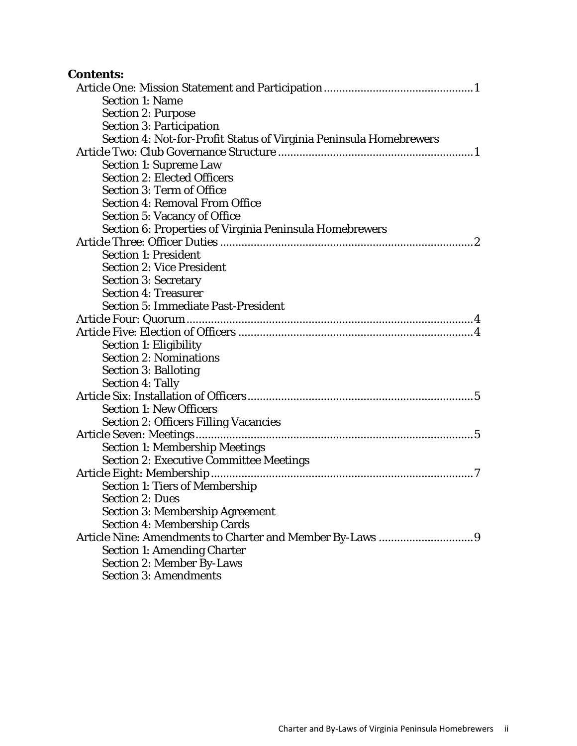| <b>Contents:</b>                                                   |  |
|--------------------------------------------------------------------|--|
|                                                                    |  |
| <b>Section 1: Name</b>                                             |  |
| <b>Section 2: Purpose</b>                                          |  |
| <b>Section 3: Participation</b>                                    |  |
| Section 4: Not-for-Profit Status of Virginia Peninsula Homebrewers |  |
|                                                                    |  |
| <b>Section 1: Supreme Law</b>                                      |  |
| <b>Section 2: Elected Officers</b>                                 |  |
| <b>Section 3: Term of Office</b>                                   |  |
| <b>Section 4: Removal From Office</b>                              |  |
| <b>Section 5: Vacancy of Office</b>                                |  |
| Section 6: Properties of Virginia Peninsula Homebrewers            |  |
|                                                                    |  |
| <b>Section 1: President</b>                                        |  |
| <b>Section 2: Vice President</b>                                   |  |
| <b>Section 3: Secretary</b>                                        |  |
| <b>Section 4: Treasurer</b>                                        |  |
| <b>Section 5: Immediate Past-President</b>                         |  |
|                                                                    |  |
|                                                                    |  |
| <b>Section 1: Eligibility</b>                                      |  |
| <b>Section 2: Nominations</b>                                      |  |
| <b>Section 3: Balloting</b>                                        |  |
| <b>Section 4: Tally</b>                                            |  |
|                                                                    |  |
| <b>Section 1: New Officers</b>                                     |  |
| <b>Section 2: Officers Filling Vacancies</b>                       |  |
| Article Seven: Meetings                                            |  |
| <b>Section 1: Membership Meetings</b>                              |  |
| <b>Section 2: Executive Committee Meetings</b>                     |  |
|                                                                    |  |
| <b>Section 1: Tiers of Membership</b>                              |  |
| <b>Section 2: Dues</b>                                             |  |
| <b>Section 3: Membership Agreement</b>                             |  |
| <b>Section 4: Membership Cards</b>                                 |  |
|                                                                    |  |
| <b>Section 1: Amending Charter</b>                                 |  |
| <b>Section 2: Member By-Laws</b>                                   |  |

Section 3: Amendments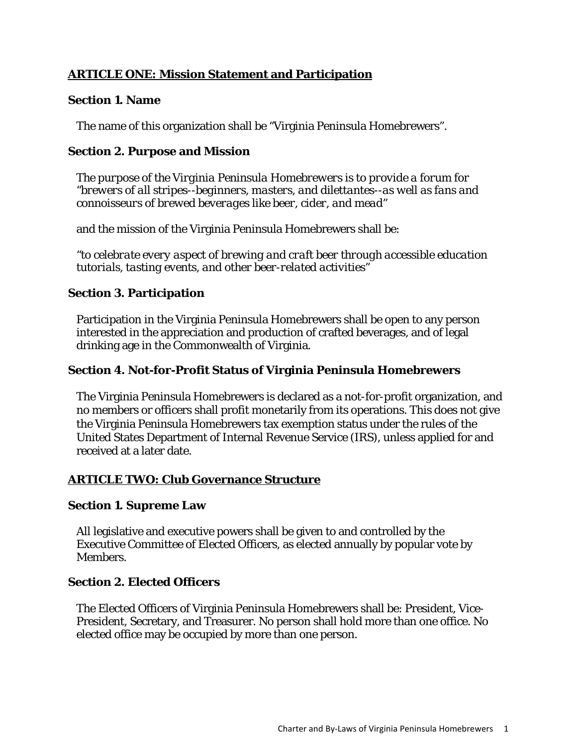## **ARTICLE ONE: Mission Statement and Participation**

#### **Section 1. Name**

The name of this organization shall be "Virginia Peninsula Homebrewers".

### **Section 2. Purpose and Mission**

*The purpose of the Virginia Peninsula Homebrewers is to provide a forum for "brewers of all stripes--beginners, masters, and dilettantes--as well as fans and connoisseurs of brewed beverages like beer, cider, and mead"* 

and the mission of the Virginia Peninsula Homebrewers shall be:

*"to celebrate every aspect of brewing and craft beer through accessible education tutorials, tasting events, and other beer-related activities"*

## **Section 3. Participation**

Participation in the Virginia Peninsula Homebrewers shall be open to any person interested in the appreciation and production of crafted beverages, and of legal drinking age in the Commonwealth of Virginia.

#### **Section 4. Not-for-Profit Status of Virginia Peninsula Homebrewers**

The Virginia Peninsula Homebrewers is declared as a not-for-profit organization, and no members or officers shall profit monetarily from its operations. This does not give the Virginia Peninsula Homebrewers tax exemption status under the rules of the United States Department of Internal Revenue Service (IRS), unless applied for and received at a later date.

## **ARTICLE TWO: Club Governance Structure**

#### **Section 1. Supreme Law**

All legislative and executive powers shall be given to and controlled by the Executive Committee of Elected Officers, as elected annually by popular vote by Members.

#### **Section 2. Elected Officers**

The Elected Officers of Virginia Peninsula Homebrewers shall be: President, Vice-President, Secretary, and Treasurer. No person shall hold more than one office. No elected office may be occupied by more than one person.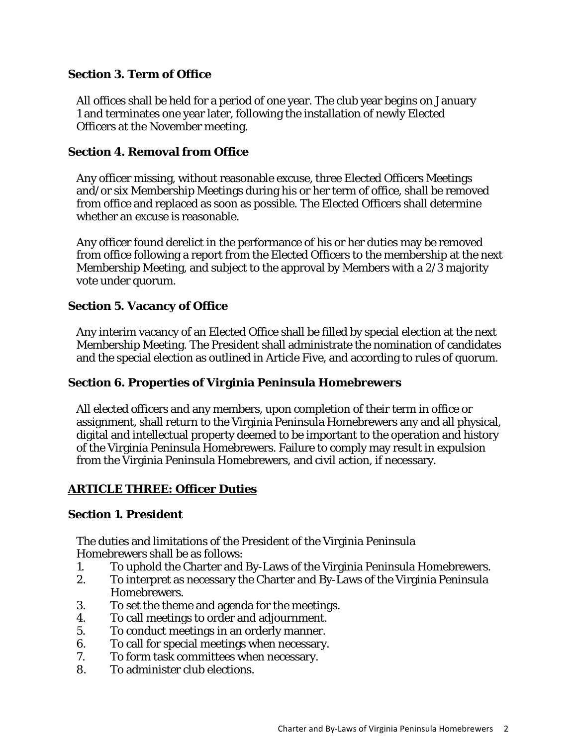#### **Section 3. Term of Office**

All offices shall be held for a period of one year. The club year begins on January 1 and terminates one year later, following the installation of newly Elected Officers at the November meeting.

#### **Section 4. Removal from Office**

Any officer missing, without reasonable excuse, three Elected Officers Meetings and/or six Membership Meetings during his or her term of office, shall be removed from office and replaced as soon as possible. The Elected Officers shall determine whether an excuse is reasonable.

Any officer found derelict in the performance of his or her duties may be removed from office following a report from the Elected Officers to the membership at the next Membership Meeting, and subject to the approval by Members with a 2/3 majority vote under quorum.

#### **Section 5. Vacancy of Office**

Any interim vacancy of an Elected Office shall be filled by special election at the next Membership Meeting. The President shall administrate the nomination of candidates and the special election as outlined in Article Five, and according to rules of quorum.

#### **Section 6. Properties of Virginia Peninsula Homebrewers**

All elected officers and any members, upon completion of their term in office or assignment, shall return to the Virginia Peninsula Homebrewers any and all physical, digital and intellectual property deemed to be important to the operation and history of the Virginia Peninsula Homebrewers. Failure to comply may result in expulsion from the Virginia Peninsula Homebrewers, and civil action, if necessary.

#### **ARTICLE THREE: Officer Duties**

#### **Section 1. President**

The duties and limitations of the President of the Virginia Peninsula Homebrewers shall be as follows:

- 1. To uphold the Charter and By-Laws of the Virginia Peninsula Homebrewers.
- 2. To interpret as necessary the Charter and By-Laws of the Virginia Peninsula Homebrewers.
- 3. To set the theme and agenda for the meetings.
- 4. To call meetings to order and adjournment.
- 5. To conduct meetings in an orderly manner.
- 6. To call for special meetings when necessary.
- 7. To form task committees when necessary.
- 8. To administer club elections.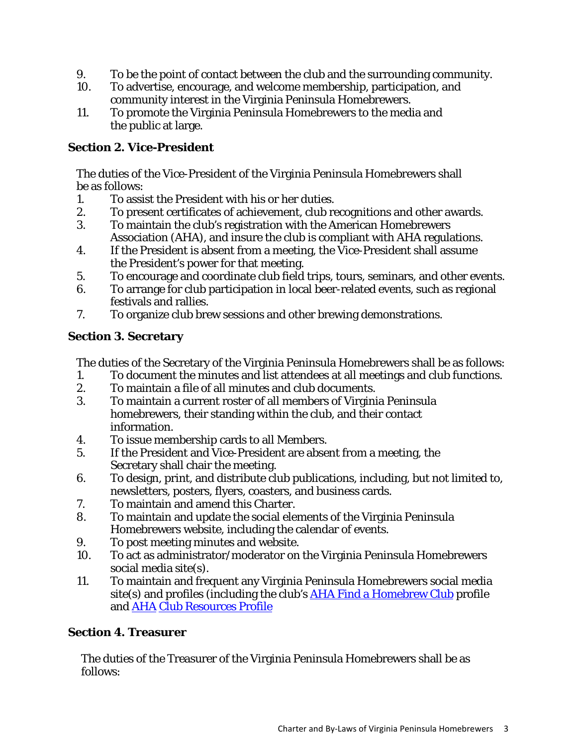- 9. To be the point of contact between the club and the surrounding community.
- 10. To advertise, encourage, and welcome membership, participation, and community interest in the Virginia Peninsula Homebrewers.
- 11. To promote the Virginia Peninsula Homebrewers to the media and the public at large.

## **Section 2. Vice-President**

The duties of the Vice-President of the Virginia Peninsula Homebrewers shall be as follows:

- 1. To assist the President with his or her duties.
- 2. To present certificates of achievement, club recognitions and other awards.
- 3. To maintain the club's registration with the American Homebrewers Association (AHA), and insure the club is compliant with AHA regulations.
- 4. If the President is absent from a meeting, the Vice-President shall assume the President's power for that meeting.
- 5. To encourage and coordinate club field trips, tours, seminars, and other events.
- 6. To arrange for club participation in local beer-related events, such as regional festivals and rallies.
- 7. To organize club brew sessions and other brewing demonstrations.

## **Section 3. Secretary**

The duties of the Secretary of the Virginia Peninsula Homebrewers shall be as follows:

- 1. To document the minutes and list attendees at all meetings and club functions.
- 2. To maintain a file of all minutes and club documents.
- 3. To maintain a current roster of all members of Virginia Peninsula homebrewers, their standing within the club, and their contact information.
- 4. To issue membership cards to all Members.
- 5. If the President and Vice-President are absent from a meeting, the Secretary shall chair the meeting.
- 6. To design, print, and distribute club publications, including, but not limited to, newsletters, posters, flyers, coasters, and business cards.
- 7. To maintain and amend this Charter.
- 8. To maintain and update the social elements of the Virginia Peninsula Homebrewers website, including the calendar of events.
- 9. To post meeting minutes and website.
- 10. To act as administrator/moderator on the Virginia Peninsula Homebrewers social media site(s).
- 11. To maintain and frequent any Virginia Peninsula Homebrewers social media site(s) and profiles (including the club's AHA Find a Homebrew Club profile and AHA Club Resources Profile

# **Section 4. Treasurer**

The duties of the Treasurer of the Virginia Peninsula Homebrewers shall be as follows: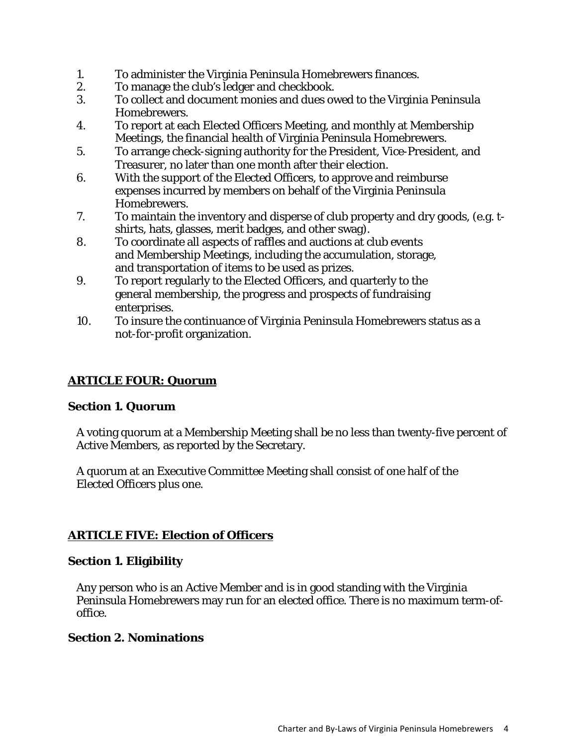- 1. To administer the Virginia Peninsula Homebrewers finances.
- 2. To manage the club's ledger and checkbook.
- 3. To collect and document monies and dues owed to the Virginia Peninsula Homebrewers.
- 4. To report at each Elected Officers Meeting, and monthly at Membership Meetings, the financial health of Virginia Peninsula Homebrewers.
- 5. To arrange check-signing authority for the President, Vice-President, and Treasurer, no later than one month after their election.
- 6. With the support of the Elected Officers, to approve and reimburse expenses incurred by members on behalf of the Virginia Peninsula Homebrewers.
- 7. To maintain the inventory and disperse of club property and dry goods, (e.g. tshirts, hats, glasses, merit badges, and other swag).
- 8. To coordinate all aspects of raffles and auctions at club events and Membership Meetings, including the accumulation, storage, and transportation of items to be used as prizes.
- 9. To report regularly to the Elected Officers, and quarterly to the general membership, the progress and prospects of fundraising enterprises.
- 10. To insure the continuance of Virginia Peninsula Homebrewers status as a not-for-profit organization.

## **ARTICLE FOUR: Quorum**

#### **Section 1. Quorum**

A voting quorum at a Membership Meeting shall be no less than twenty-five percent of Active Members, as reported by the Secretary.

A quorum at an Executive Committee Meeting shall consist of one half of the Elected Officers plus one.

#### **ARTICLE FIVE: Election of Officers**

#### **Section 1. Eligibility**

Any person who is an Active Member and is in good standing with the Virginia Peninsula Homebrewers may run for an elected office. There is no maximum term-ofoffice.

#### **Section 2. Nominations**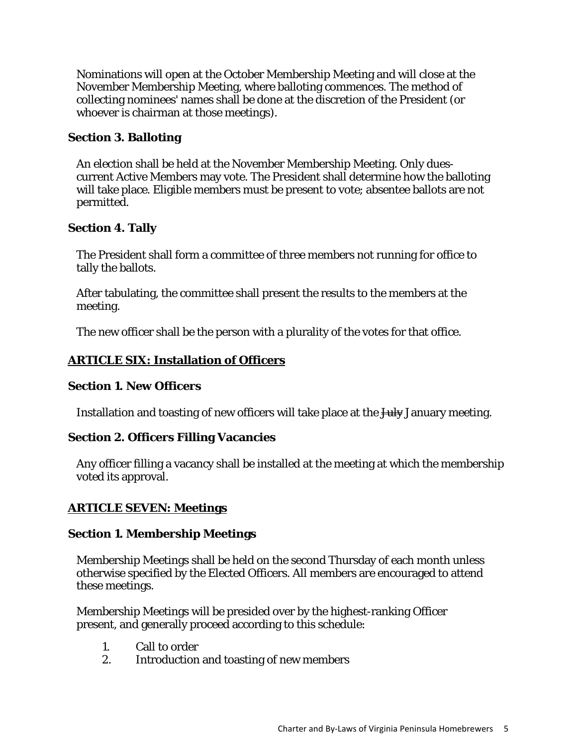Nominations will open at the October Membership Meeting and will close at the November Membership Meeting, where balloting commences. The method of collecting nominees' names shall be done at the discretion of the President (or whoever is chairman at those meetings).

#### **Section 3. Balloting**

An election shall be held at the November Membership Meeting. Only duescurrent Active Members may vote. The President shall determine how the balloting will take place. Eligible members must be present to vote; absentee ballots are not permitted.

#### **Section 4. Tally**

The President shall form a committee of three members not running for office to tally the ballots.

After tabulating, the committee shall present the results to the members at the meeting.

The new officer shall be the person with a plurality of the votes for that office.

#### **ARTICLE SIX: Installation of Officers**

#### **Section 1. New Officers**

Installation and toasting of new officers will take place at the  $\frac{1}{1+\frac{1}{2}}$  January meeting.

#### **Section 2. Officers Filling Vacancies**

Any officer filling a vacancy shall be installed at the meeting at which the membership voted its approval.

#### **ARTICLE SEVEN: Meetings**

#### **Section 1. Membership Meetings**

Membership Meetings shall be held on the second Thursday of each month unless otherwise specified by the Elected Officers. All members are encouraged to attend these meetings.

Membership Meetings will be presided over by the highest-ranking Officer present, and generally proceed according to this schedule:

- 1. Call to order
- 2. Introduction and toasting of new members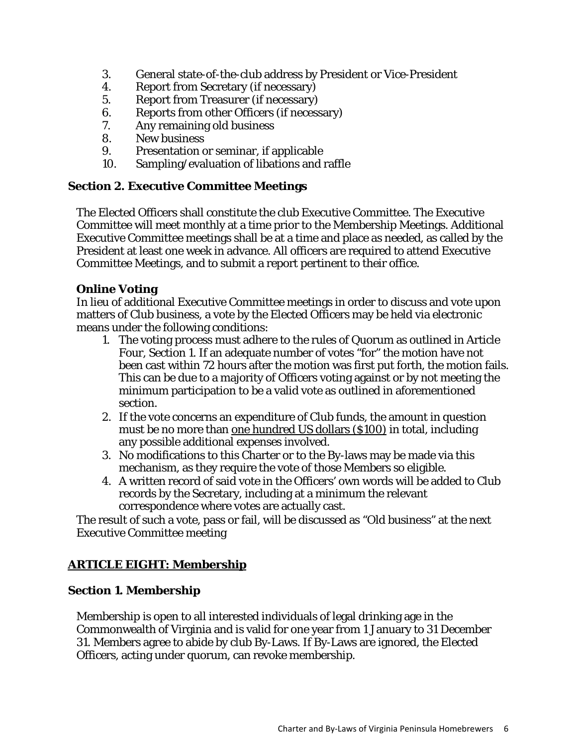- 3. General state-of-the-club address by President or Vice-President
- 4. Report from Secretary (if necessary)
- 5. Report from Treasurer (if necessary)
- 6. Reports from other Officers (if necessary)
- 7. Any remaining old business
- 8. New business<br>9. Presentation of
- 9. Presentation or seminar, if applicable
- 10. Sampling/evaluation of libations and raffle

#### **Section 2. Executive Committee Meetings**

The Elected Officers shall constitute the club Executive Committee. The Executive Committee will meet monthly at a time prior to the Membership Meetings. Additional Executive Committee meetings shall be at a time and place as needed, as called by the President at least one week in advance. All officers are required to attend Executive Committee Meetings, and to submit a report pertinent to their office.

## **Online Voting**

In lieu of additional Executive Committee meetings in order to discuss and vote upon matters of Club business, a vote by the Elected Officers may be held via electronic means under the following conditions:

- 1. The voting process must adhere to the rules of Quorum as outlined in Article Four, Section 1. If an adequate number of votes "for" the motion have not been cast within 72 hours after the motion was first put forth, the motion fails. This can be due to a majority of Officers voting against or by not meeting the minimum participation to be a valid vote as outlined in aforementioned section.
- 2. If the vote concerns an expenditure of Club funds, the amount in question must be no more than one hundred US dollars (\$100) in total, including any possible additional expenses involved.
- 3. No modifications to this Charter or to the By-laws may be made via this mechanism, as they require the vote of those Members so eligible.
- 4. A written record of said vote in the Officers' own words will be added to Club records by the Secretary, including at a minimum the relevant correspondence where votes are actually cast.

The result of such a vote, pass or fail, will be discussed as "Old business" at the next Executive Committee meeting

# **ARTICLE EIGHT: Membership**

## **Section 1. Membership**

Membership is open to all interested individuals of legal drinking age in the Commonwealth of Virginia and is valid for one year from 1 January to 31 December 31. Members agree to abide by club By-Laws. If By-Laws are ignored, the Elected Officers, acting under quorum, can revoke membership.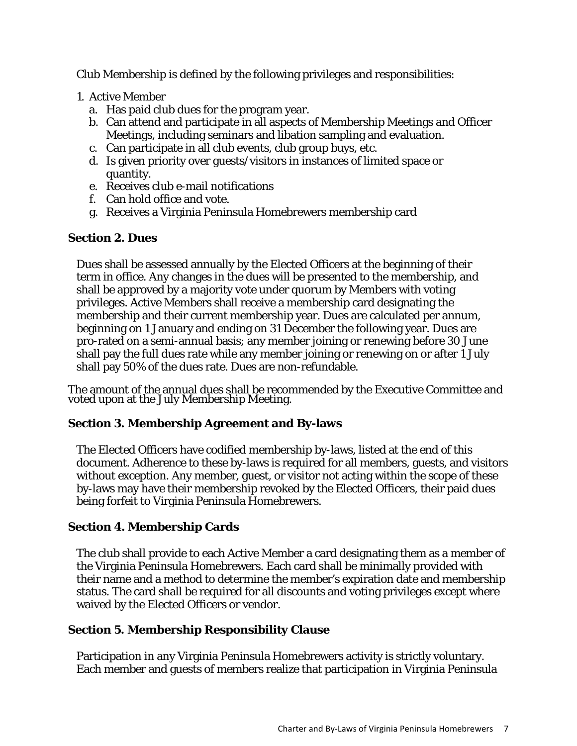Club Membership is defined by the following privileges and responsibilities:

- 1. Active Member
	- a. Has paid club dues for the program year.
	- b. Can attend and participate in all aspects of Membership Meetings and Officer Meetings, including seminars and libation sampling and evaluation.
	- c. Can participate in all club events, club group buys, etc.
	- d. Is given priority over guests/visitors in instances of limited space or quantity.
	- e. Receives club e-mail notifications
	- f. Can hold office and vote.
	- g. Receives a Virginia Peninsula Homebrewers membership card

# **Section 2. Dues**

Dues shall be assessed annually by the Elected Officers at the beginning of their term in office. Any changes in the dues will be presented to the membership, and shall be approved by a majority vote under quorum by Members with voting privileges. Active Members shall receive a membership card designating the membership and their current membership year. Dues are calculated per annum, beginning on 1 January and ending on 31 December the following year. Dues are pro-rated on a semi-annual basis; any member joining or renewing before 30 June shall pay the full dues rate while any member joining or renewing on or after 1 July shall pay 50% of the dues rate. Dues are non-refundable.

The amount of the annual dues shall be recommended by the Executive Committee and voted upon at the July Membership Meeting.

# **Section 3. Membership Agreement and By-laws**

The Elected Officers have codified membership by-laws, listed at the end of this document. Adherence to these by-laws is required for all members, guests, and visitors without exception. Any member, guest, or visitor not acting within the scope of these by-laws may have their membership revoked by the Elected Officers, their paid dues being forfeit to Virginia Peninsula Homebrewers.

# **Section 4. Membership Cards**

The club shall provide to each Active Member a card designating them as a member of the Virginia Peninsula Homebrewers. Each card shall be minimally provided with their name and a method to determine the member's expiration date and membership status. The card shall be required for all discounts and voting privileges except where waived by the Elected Officers or vendor.

# **Section 5. Membership Responsibility Clause**

Participation in any Virginia Peninsula Homebrewers activity is strictly voluntary. Each member and guests of members realize that participation in Virginia Peninsula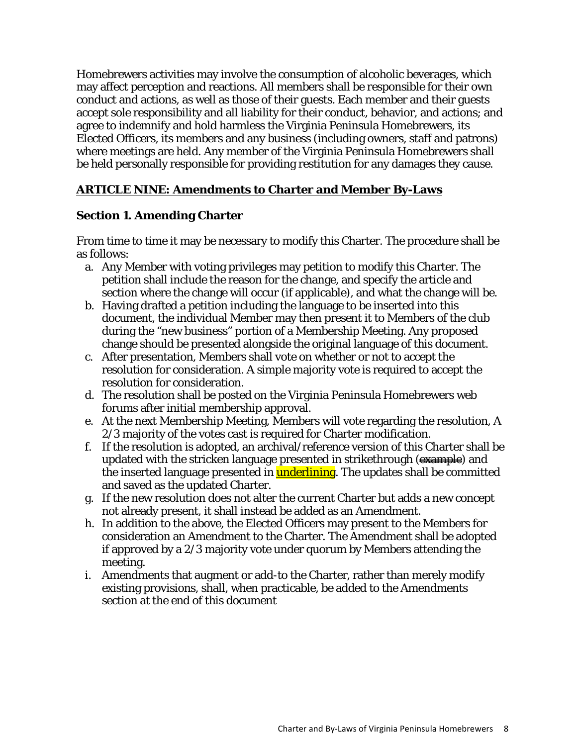Homebrewers activities may involve the consumption of alcoholic beverages, which may affect perception and reactions. All members shall be responsible for their own conduct and actions, as well as those of their guests. Each member and their guests accept sole responsibility and all liability for their conduct, behavior, and actions; and agree to indemnify and hold harmless the Virginia Peninsula Homebrewers, its Elected Officers, its members and any business (including owners, staff and patrons) where meetings are held. Any member of the Virginia Peninsula Homebrewers shall be held personally responsible for providing restitution for any damages they cause.

#### **ARTICLE NINE: Amendments to Charter and Member By-Laws**

#### **Section 1. Amending Charter**

From time to time it may be necessary to modify this Charter. The procedure shall be as follows:

- a. Any Member with voting privileges may petition to modify this Charter. The petition shall include the reason for the change, and specify the article and section where the change will occur (if applicable), and what the change will be.
- b. Having drafted a petition including the language to be inserted into this document, the individual Member may then present it to Members of the club during the "new business" portion of a Membership Meeting. Any proposed change should be presented alongside the original language of this document.
- c. After presentation, Members shall vote on whether or not to accept the resolution for consideration. A simple majority vote is required to accept the resolution for consideration.
- d. The resolution shall be posted on the Virginia Peninsula Homebrewers web forums after initial membership approval.
- e. At the next Membership Meeting, Members will vote regarding the resolution, A 2/3 majority of the votes cast is required for Charter modification.
- f. If the resolution is adopted, an archival/reference version of this Charter shall be updated with the stricken language presented in strikethrough (example) and the inserted language presented in **underlining**. The updates shall be committed and saved as the updated Charter.
- g. If the new resolution does not alter the current Charter but adds a new concept not already present, it shall instead be added as an Amendment.
- h. In addition to the above, the Elected Officers may present to the Members for consideration an Amendment to the Charter. The Amendment shall be adopted if approved by a 2/3 majority vote under quorum by Members attending the meeting.
- i. Amendments that augment or add-to the Charter, rather than merely modify existing provisions, shall, when practicable, be added to the Amendments section at the end of this document